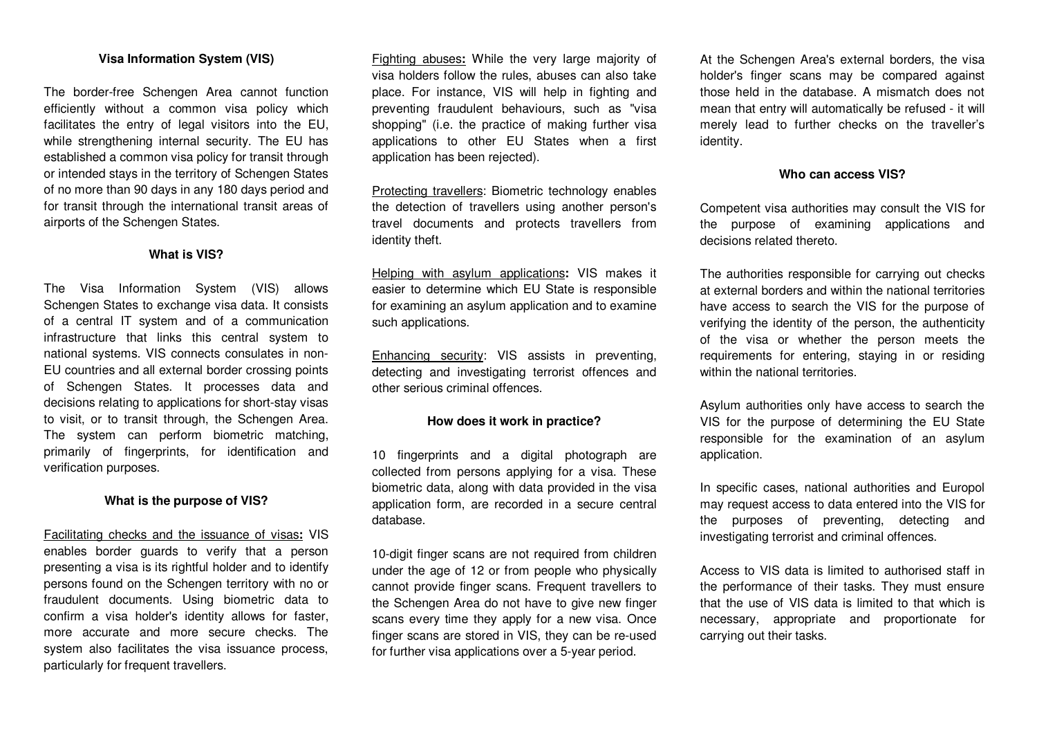### **Visa Information System (VIS)**

The border-free Schengen Area cannot function efficiently without a common visa policy which facilitates the entry of legal visitors into the EU, while strengthening internal security. The EU has established a common visa policy for transit through or intended stays in the territory of Schengen States of no more than 90 days in any 180 days period and for transit through the international transit areas of airports of the Schengen States.

#### **What is VIS?**

The Visa Information System (VIS) allows Schengen States to exchange visa data. It consists of a central IT system and of a communication infrastructure that links this central system to national systems. VIS connects consulates in non-EU countries and all external border crossing points of Schengen States. It processes data and decisions relating to applications for short-stay visas to visit, or to transit through, the Schengen Area.The system can perform biometric matching, primarily of fingerprints, for identification and verification purposes.

# **What is the purpose of VIS?**

Facilitating checks and the issuance of visas**:** VIS enables border guards to verify that a person presenting a visa is its rightful holder and to identify persons found on the Schengen territory with no or fraudulent documents. Using biometric data to confirm a visa holder's identity allows for faster,more accurate and more secure checks. The system also facilitates the visa issuance process, particularly for frequent travellers.

Fighting abuses**:** While the very large majority of visa holders follow the rules, abuses can also take place. For instance, VIS will help in fighting and preventing fraudulent behaviours, such as "visa shopping" (i.e. the practice of making further visa applications to other EU States when a first application has been rejected).

Protecting travellers: Biometric technology enables the detection of travellers using another person's travel documents and protects travellers from identity theft.

Helping with asylum applications**:** VIS makes it easier to determine which EU State is responsible for examining an asylum application and to examine such applications.

Enhancing security: VIS assists in preventing, detecting and investigating terrorist offences and other serious criminal offences.

#### **How does it work in practice?**

10 fingerprints and a digital photograph are collected from persons applying for a visa. These biometric data, along with data provided in the visa application form, are recorded in a secure central database.

10-digit finger scans are not required from children under the age of 12 or from people who physically cannot provide finger scans. Frequent travellers to the Schengen Area do not have to give new finger scans every time they apply for a new visa. Once finger scans are stored in VIS, they can be re-usedfor further visa applications over a 5-year period.

At the Schengen Area's external borders, the visa holder's finger scans may be compared against those held in the database. A mismatch does not mean that entry will automatically be refused - it will merely lead to further checks on the traveller's identity.

## **Who can access VIS?**

Competent visa authorities may consult the VIS for the purpose of examining applications and decisions related thereto.

The authorities responsible for carrying out checks at external borders and within the national territories have access to search the VIS for the purpose of verifying the identity of the person, the authenticity of the visa or whether the person meets the requirements for entering, staying in or residing within the national territories.

Asylum authorities only have access to search the VIS for the purpose of determining the EU State responsible for the examination of an asylum application.

In specific cases, national authorities and Europolmay request access to data entered into the VIS forthe purposes of preventing, detecting and investigating terrorist and criminal offences.

Access to VIS data is limited to authorised staff in the performance of their tasks. They must ensure that the use of VIS data is limited to that which is necessary, appropriate and proportionate for carrying out their tasks.